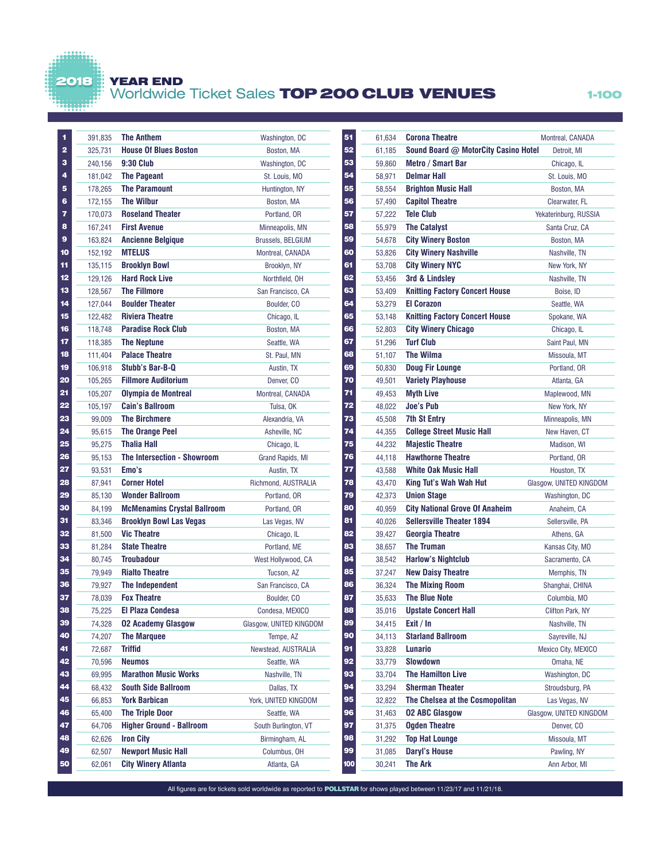## YEAR END

2018

## Worldwide Ticket Sales TOP 200 CLUB VENUES 1-100

| 1              | 391,835 | <b>The Anthem</b>                  | Washington, DC           |
|----------------|---------|------------------------------------|--------------------------|
| $\overline{2}$ | 325,731 | <b>House Of Blues Boston</b>       | Boston, MA               |
| 3              | 240,156 | <b>9:30 Club</b>                   | Washington, DC           |
| 4              | 181,042 | <b>The Pageant</b>                 | St. Louis, MO            |
| 5              | 178,265 | <b>The Paramount</b>               | Huntington, NY           |
| 6              | 172,155 | <b>The Wilbur</b>                  | Boston, MA               |
| 7              | 170,073 | <b>Roseland Theater</b>            | Portland, OR             |
| 8              | 167,241 | <b>First Avenue</b>                | Minneapolis, MN          |
| 9              | 163,824 | <b>Ancienne Belgique</b>           | <b>Brussels, BELGIUM</b> |
| 10             | 152,192 | <b>MTELUS</b>                      | Montreal, CANADA         |
| 11             | 135,115 | <b>Brooklyn Bowl</b>               | Brooklyn, NY             |
| 12             | 129,126 | <b>Hard Rock Live</b>              | Northfield, OH           |
| 13             | 128,567 | <b>The Fillmore</b>                | San Francisco, CA        |
| 14             | 127,044 | <b>Boulder Theater</b>             | Boulder, CO              |
| 15             | 122,482 | <b>Riviera Theatre</b>             | Chicago, IL              |
| 16             | 118,748 | <b>Paradise Rock Club</b>          | Boston, MA               |
| 17             | 118,385 | <b>The Neptune</b>                 | Seattle, WA              |
| 18             | 111,404 | <b>Palace Theatre</b>              | St. Paul, MN             |
| 19             | 106,918 | Stubb's Bar-B-Q                    | Austin, TX               |
| 20             | 105,265 | <b>Fillmore Auditorium</b>         | Denver, CO               |
| 21             | 105,207 | <b>Olympia de Montreal</b>         | Montreal, CANADA         |
| 22             | 105,197 | <b>Cain's Ballroom</b>             | Tulsa, OK                |
| 23             | 99,009  | <b>The Birchmere</b>               | Alexandria, VA           |
| 24             | 95,615  | <b>The Orange Peel</b>             | Asheville, NC            |
| 25             | 95,275  | <b>Thalia Hall</b>                 | Chicago, IL              |
| 26             | 95,153  | The Intersection - Showroom        | Grand Rapids, MI         |
| 27             | 93,531  | Emo's                              | Austin, TX               |
| 28             | 87,941  | <b>Corner Hotel</b>                | Richmond, AUSTRALIA      |
| 29             | 85,130  | <b>Wonder Ballroom</b>             | Portland, OR             |
| 30             | 84,199  | <b>McMenamins Crystal Ballroom</b> | Portland, OR             |
| 31             | 83,346  | <b>Brooklyn Bowl Las Vegas</b>     | Las Vegas, NV            |
| 32             | 81,500  | <b>Vic Theatre</b>                 | Chicago, IL              |
| 33             | 81,284  | <b>State Theatre</b>               | Portland, ME             |
| 34             | 80,745  | <b>Troubadour</b>                  | West Hollywood, CA       |
| 35             | 79,949  | <b>Rialto Theatre</b>              | Tucson, AZ               |
| 36             | 79,927  | <b>The Independent</b>             | San Francisco, CA        |
| 37             | 78,039  | <b>Fox Theatre</b>                 | Boulder, CO              |
| 38             | 75,225  | <b>El Plaza Condesa</b>            | Condesa, MEXICO          |
| 39             | 74,328  | <b>02 Academy Glasgow</b>          | Glasgow, UNITED KINGDOM  |
| 40             | 74,207  | <b>The Marquee</b>                 | Tempe, AZ                |
| 41             | 72,687  | <b>Triffid</b>                     | Newstead, AUSTRALIA      |
| 42             | 70,596  | <b>Neumos</b>                      | Seattle, WA              |
| 43             | 69,995  | <b>Marathon Music Works</b>        | Nashville, TN            |
| 44             | 68,432  | <b>South Side Ballroom</b>         | Dallas, TX               |
| 45             | 66,853  | <b>York Barbican</b>               | York, UNITED KINGDOM     |
| 46             | 65,400  | <b>The Triple Door</b>             | Seattle, WA              |
| 47             | 64,706  | <b>Higher Ground - Ballroom</b>    | South Burlington, VT     |
| 48             | 62,626  | <b>Iron City</b>                   | Birmingham, AL           |
| 49             | 62,507  | <b>Newport Music Hall</b>          | Columbus, OH             |
| 50             | 62,061  | <b>City Winery Atlanta</b>         | Atlanta, GA              |
|                |         |                                    |                          |

| 51  | 61,634           | <b>Corona Theatre</b>                      | Montreal, CANADA        |
|-----|------------------|--------------------------------------------|-------------------------|
| 52  | 61,185           | Sound Board @ MotorCity Casino Hotel       | Detroit, MI             |
| 53  | 59,860           | <b>Metro / Smart Bar</b>                   | Chicago, IL             |
| 54  | 58,971           | <b>Delmar Hall</b>                         | St. Louis, MO           |
| 55  | 58,554           | <b>Brighton Music Hall</b>                 | Boston, MA              |
| 56  | 57,490           | <b>Capitol Theatre</b>                     | Clearwater, FL          |
| 57  | 57,222           | <b>Tele Club</b>                           | Yekaterinburg, RUSSIA   |
| 58  | 55,979           | <b>The Catalyst</b>                        | Santa Cruz, CA          |
| 59  | 54,678           | <b>City Winery Boston</b>                  | Boston, MA              |
| 60  | 53,826           | <b>City Winery Nashville</b>               | Nashville, TN           |
| 61  | 53,708           | <b>City Winery NYC</b>                     | New York, NY            |
| 62  | 53,456           | 3rd & Lindsley                             | Nashville, TN           |
| 63  | 53,409           | <b>Knitting Factory Concert House</b>      | Boise, ID               |
| 64  | 53,279           | <b>El Corazon</b>                          | Seattle, WA             |
| 65  | 53,148           | <b>Knitting Factory Concert House</b>      | Spokane, WA             |
| 66  | 52,803           | <b>City Winery Chicago</b>                 | Chicago, IL             |
| 67  | 51,296           | <b>Turf Club</b>                           | Saint Paul, MN          |
| 68  | 51,107           | <b>The Wilma</b>                           | Missoula, MT            |
| 69  | 50,830           | <b>Doug Fir Lounge</b>                     | Portland, OR            |
| 70  | 49,501           | <b>Variety Playhouse</b>                   | Atlanta, GA             |
| 71  | 49,453           | <b>Myth Live</b>                           | Maplewood, MN           |
| 72  | 48,022           | <b>Joe's Pub</b>                           | New York, NY            |
| 73  | 45,508           | <b>7th St Entry</b>                        | Minneapolis, MN         |
| 74  | 44,355           | <b>College Street Music Hall</b>           | New Haven, CT           |
| 75  | 44,232           | <b>Majestic Theatre</b>                    | Madison, WI             |
| 76  | 44,118           | <b>Hawthorne Theatre</b>                   | Portland, OR            |
| 77  | 43,588           | White Oak Music Hall                       | Houston, TX             |
| 78  | 43,470           | King Tut's Wah Wah Hut                     | Glasgow, UNITED KINGDOM |
| 79  | 42,373           | <b>Union Stage</b>                         | Washington, DC          |
| 80  | 40,959           | <b>City National Grove Of Anaheim</b>      | Anaheim, CA             |
| 81  | 40,026           | <b>Sellersville Theater 1894</b>           | Sellersville, PA        |
| 82  | 39,427           | <b>Georgia Theatre</b>                     | Athens, GA              |
| 83  | 38,657           | <b>The Truman</b>                          | Kansas City, MO         |
| 84  | 38,542           | <b>Harlow's Nightclub</b>                  | Sacramento, CA          |
| 85  |                  | <b>New Daisy Theatre</b>                   | Memphis, TN             |
| 86  | 37,247           | <b>The Mixing Room</b>                     |                         |
| 87  | 36,324           | <b>The Blue Note</b>                       | Shanghai, CHINA         |
| 88  | 35,633<br>35,016 | <b>Upstate Concert Hall</b>                | Columbia, MO            |
| 89  |                  | Exit / In                                  | Clifton Park, NY        |
| 90  | 34,415           |                                            | Nashville, TN           |
|     | 34,113           | <b>Starland Ballroom</b><br><b>Lunario</b> | Sayreville, NJ          |
| 91  | 33,828           |                                            | Mexico City, MEXICO     |
| 92  | 33,779           | Slowdown                                   | Omaha, NE               |
| 93  | 33,704           | <b>The Hamilton Live</b>                   | Washington, DC          |
| 94  | 33,294           | <b>Sherman Theater</b>                     | Stroudsburg, PA         |
| 95  | 32,822           | The Chelsea at the Cosmopolitan            | Las Vegas, NV           |
| 96  | 31,463           | <b>02 ABC Glasgow</b>                      | Glasgow, UNITED KINGDOM |
| 97  | 31,375           | <b>Ogden Theatre</b>                       | Denver, CO              |
| 98  | 31,292           | <b>Top Hat Lounge</b>                      | Missoula, MT            |
| 99  | 31,085           | <b>Daryl's House</b>                       | Pawling, NY             |
| 100 | 30,241           | The Ark                                    | Ann Arbor, MI           |

All figures are for tickets sold worldwide as reported to **POLLSTAR** for shows played between 11/23/17 and 11/21/18.